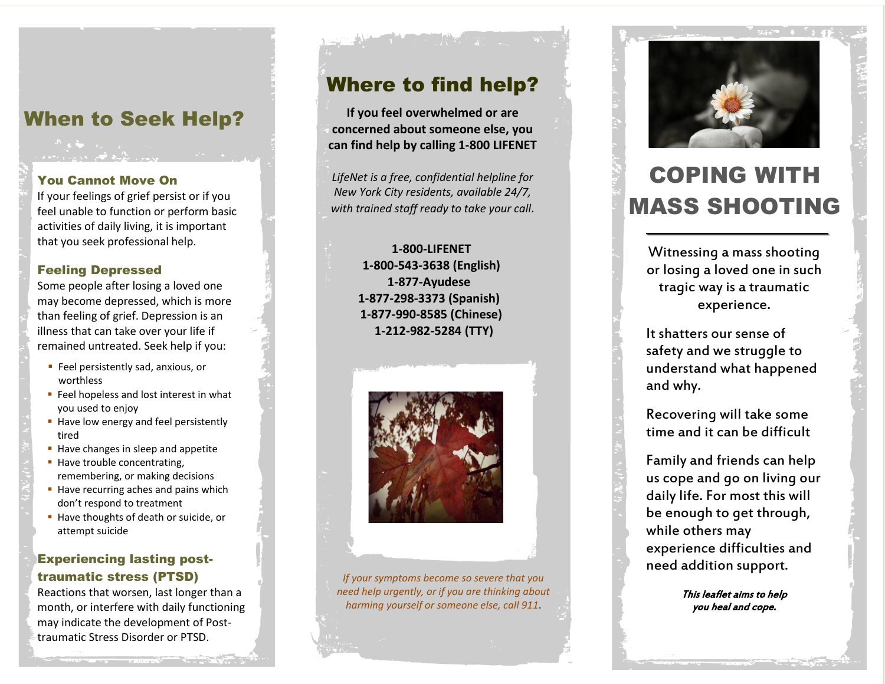# When to Seek Help?

### You Cannot Move On

If your feelings of grief persist or if you feel unable to function or perform basic activities of daily living, it is important that you seek professional help.

### Feeling Depressed

Some people after losing a loved one may become depressed, which is more than feeling of grief. Depression is an illness that can take over your life if remained untreated. Seek help if you:

- **Feel persistently sad, anxious, or** worthless
- **Feel hopeless and lost interest in what** you used to enjoy
- Have low energy and feel persistently tired
- Have changes in sleep and appetite
- **Have trouble concentrating,** remembering, or making decisions
- Have recurring aches and pains which don't respond to treatment
- Have thoughts of death or suicide, or attempt suicide

### Experiencing lasting posttraumatic stress (PTSD)

Reactions that worsen, last longer than a month, or interfere with daily functioning may indicate the development of Posttraumatic Stress Disorder or PTSD.

## Where to find help?

**If you feel overwhelmed or are concerned about someone else, you can find help by calling 1-800 LIFENET**

*LifeNet is a free, confidential helpline for New York City residents, available 24/7, with trained staff ready to take your call*.

### **1-800-LIFENET 1-800-543-3638 (English) 1-877-Ayudese 1-877-298-3373 (Spanish) 1-877-990-8585 (Chinese) 1-212-982-5284 (TTY)**



*If your symptoms become so severe that you need help urgently, or if you are thinking about harming yourself or someone else, call 911*.



Witnessing a mass shooting or losing a loved one in such tragic way is a traumatic experience.

It shatters our sense of safety and we struggle to understand what happened and why.

Recovering will take some time and it can be difficult

Family and friends can help us cope and go on living our daily life. For most this will be enough to get through, while others may experience difficulties and need addition support.

> This leaflet aims to help you heal and cope.